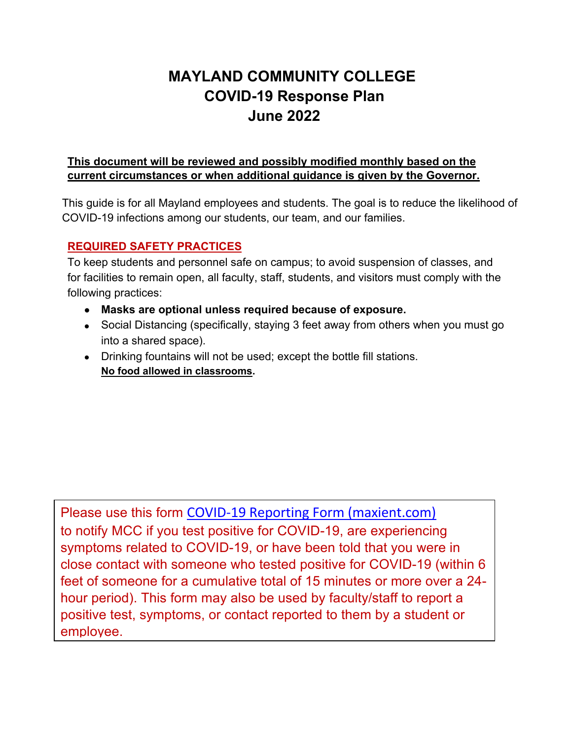# **MAYLAND COMMUNITY COLLEGE COVID-19 Response Plan June 2022**

#### **This document will be reviewed and possibly modified monthly based on the current circumstances or when additional guidance is given by the Governor.**

 This guide is for all Mayland employees and students. The goal is to reduce the likelihood of COVID-19 infections among our students, our team, and our families.

### **REQUIRED SAFETY PRACTICES**

To keep students and personnel safe on campus; to avoid suspension of classes, and for facilities to remain open, all faculty, staff, students, and visitors must comply with the following practices:

- **Masks are optional unless required because of exposure.**
- Social Distancing (specifically, staying 3 feet away from others when you must go into a shared space).
- Drinking fountains will not be used; except the bottle fill stations. **No food allowed in classrooms.**

Please use this form COVID-19 Reporting Form [\(maxient.com\)](https://cm.maxient.com/reportingform.php?MaylandCC&layout_id=1) to notify MCC if you test positive for COVID-19, are experiencing symptoms related to COVID-19, or have been told that you were in close contact with someone who tested positive for COVID-19 (within 6 feet of someone for a cumulative total of 15 minutes or more over a 24 hour period). This form may also be used by faculty/staff to report a positive test, symptoms, or contact reported to them by a student or employee.